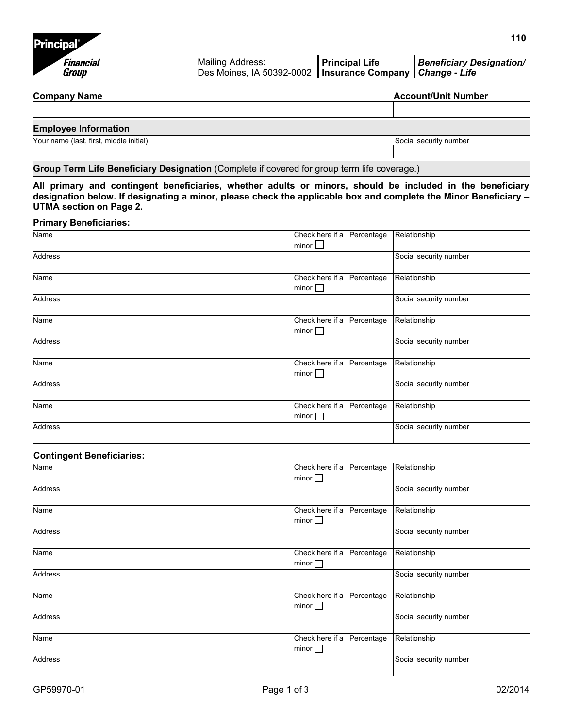

# **Company Name Company Name Account/Unit Number** 2012 12:30 Account/Unit Number 2014

| <b>Employee Information</b> |  |
|-----------------------------|--|
|                             |  |

Your name (last, first, middle initial) Social security number

# **Group Term Life Beneficiary Designation** (Complete if covered for group term life coverage.)

**All primary and contingent beneficiaries, whether adults or minors, should be included in the beneficiary designation below. If designating a minor, please check the applicable box and complete the Minor Beneficiary – UTMA section on Page 2.**

### **Primary Beneficiaries:**

| Name                             | Check here if a Percentage<br>minor $\Box$       | Relationship           |
|----------------------------------|--------------------------------------------------|------------------------|
| Address                          |                                                  | Social security number |
| Name                             | Check here if a<br>Percentage<br>minor $\square$ | Relationship           |
| <b>Address</b>                   |                                                  | Social security number |
| Name                             | Check here if a<br>Percentage<br>minor $\Box$    | Relationship           |
| Address                          |                                                  | Social security number |
| Name                             | Check here if a<br>Percentage<br>minor $\square$ | Relationship           |
| <b>Address</b>                   |                                                  | Social security number |
| Name                             | Check here if a<br>Percentage<br>minor $\square$ | Relationship           |
| <b>Address</b>                   |                                                  | Social security number |
| <b>Contingent Beneficiaries:</b> |                                                  |                        |
| Name                             | Check here if a<br>Percentage<br>minor $\square$ | Relationship           |
| <b>Address</b>                   |                                                  | Social security number |
| Name                             | Check here if a<br>Percentage<br>minor $\square$ | Relationship           |
| <b>Address</b>                   |                                                  | Social security number |
| Name                             | Check here if a<br>Percentage<br>minor $\square$ | Relationship           |
| <b>Address</b>                   |                                                  | Social security number |
| Name                             | Check here if a<br>Percentage<br>minor $\Box$    | Relationship           |
| <b>Address</b>                   |                                                  | Social security number |
| Name                             | Check here if a<br>Percentage<br>minor $\square$ | Relationship           |
| Address                          |                                                  | Social security number |
|                                  |                                                  |                        |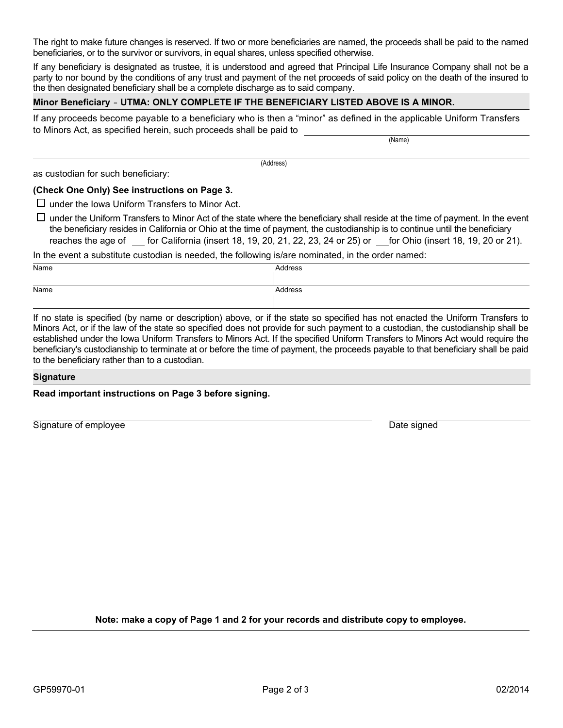The right to make future changes is reserved. If two or more beneficiaries are named, the proceeds shall be paid to the named beneficiaries, or to the survivor or survivors, in equal shares, unless specified otherwise.

If any beneficiary is designated as trustee, it is understood and agreed that Principal Life Insurance Company shall not be a party to nor bound by the conditions of any trust and payment of the net proceeds of said policy on the death of the insured to the then designated beneficiary shall be a complete discharge as to said company.

# **Minor Beneficiary** - **UTMA: ONLY COMPLETE IF THE BENEFICIARY LISTED ABOVE IS A MINOR.**

If any proceeds become payable to a beneficiary who is then a "minor" as defined in the applicable Uniform Transfers to Minors Act, as specified herein, such proceeds shall be paid to

(Name)

as custodian for such beneficiary:

(Address)

### **(Check One Only) See instructions on Page 3.**

 $\Box$  under the Iowa Uniform Transfers to Minor Act.

 $\Box$  under the Uniform Transfers to Minor Act of the state where the beneficiary shall reside at the time of payment. In the event the beneficiary resides in California or Ohio at the time of payment, the custodianship is to continue until the beneficiary reaches the age of \_\_ for California (insert 18, 19, 20, 21, 22, 23, 24 or 25) or for Ohio (insert 18, 19, 20 or 21).

In the event a substitute custodian is needed, the following is/are nominated, in the order named:

| Name | Address |
|------|---------|
|      |         |
| Name | Address |
|      |         |

If no state is specified (by name or description) above, or if the state so specified has not enacted the Uniform Transfers to Minors Act, or if the law of the state so specified does not provide for such payment to a custodian, the custodianship shall be established under the Iowa Uniform Transfers to Minors Act. If the specified Uniform Transfers to Minors Act would require the beneficiary's custodianship to terminate at or before the time of payment, the proceeds payable to that beneficiary shall be paid to the beneficiary rather than to a custodian.

#### **Signature**

**Read important instructions on Page 3 before signing.** 

Signature of employee Date signed Date signed Date signed

**Note: make a copy of Page 1 and 2 for your records and distribute copy to employee.**